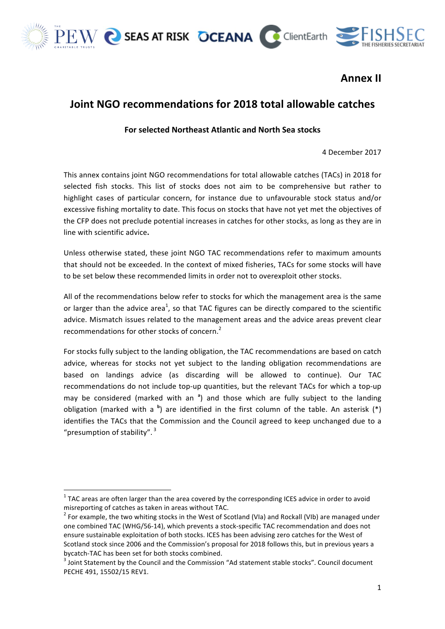

 





## **Annex II**

## **Joint NGO recommendations for 2018 total allowable catches**

## **For selected Northeast Atlantic and North Sea stocks**

4 December 2017

This annex contains joint NGO recommendations for total allowable catches (TACs) in 2018 for selected fish stocks. This list of stocks does not aim to be comprehensive but rather to highlight cases of particular concern, for instance due to unfavourable stock status and/or excessive fishing mortality to date. This focus on stocks that have not yet met the objectives of the CFP does not preclude potential increases in catches for other stocks, as long as they are in line with scientific advice**.**

Unless otherwise stated, these joint NGO TAC recommendations refer to maximum amounts that should not be exceeded. In the context of mixed fisheries, TACs for some stocks will have to be set below these recommended limits in order not to overexploit other stocks.

All of the recommendations below refer to stocks for which the management area is the same or larger than the advice area<sup>1</sup>, so that TAC figures can be directly compared to the scientific advice. Mismatch issues related to the management areas and the advice areas prevent clear recommendations for other stocks of concern.<sup>2</sup>

For stocks fully subject to the landing obligation, the TAC recommendations are based on catch advice, whereas for stocks not yet subject to the landing obligation recommendations are based on landings advice (as discarding will be allowed to continue). Our TAC recommendations do not include top-up quantities, but the relevant TACs for which a top-up may be considered (marked with an<sup>a</sup>) and those which are fully subject to the landing obligation (marked with a <sup>b</sup>) are identified in the first column of the table. An asterisk (\*) identifies the TACs that the Commission and the Council agreed to keep unchanged due to a "presumption of stability".  $3$ 

 $1$  TAC areas are often larger than the area covered by the corresponding ICES advice in order to avoid misreporting of catches as taken in areas without TAC.

 $2$  For example, the two whiting stocks in the West of Scotland (VIa) and Rockall (VIb) are managed under one combined TAC (WHG/56-14), which prevents a stock-specific TAC recommendation and does not ensure sustainable exploitation of both stocks. ICES has been advising zero catches for the West of Scotland stock since 2006 and the Commission's proposal for 2018 follows this, but in previous years a

bycatch-TAC has been set for both stocks combined.<br><sup>3</sup> Joint Statement by the Council and the Commission "Ad statement stable stocks". Council document PECHE 491, 15502/15 REV1.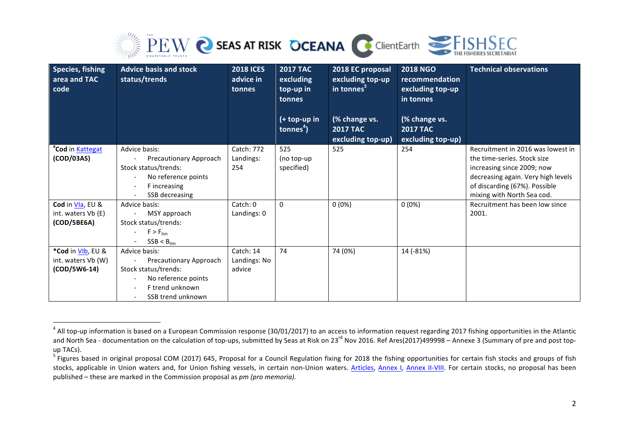

| Species, fishing<br>area and TAC<br>code | <b>Advice basis and stock</b><br>status/trends | <b>2018 ICES</b><br>advice in<br>tonnes | <b>2017 TAC</b><br>excluding<br>top-up in<br>tonnes<br>(+ top-up in<br>tonnes $4$ ) | 2018 EC proposal<br>excluding top-up<br>in tonnes <sup>5</sup><br>(% change vs.<br><b>2017 TAC</b><br>excluding top-up) | <b>2018 NGO</b><br>recommendation<br>excluding top-up<br>in tonnes<br>(% change vs.<br><b>2017 TAC</b><br>excluding top-up) | <b>Technical observations</b>                             |
|------------------------------------------|------------------------------------------------|-----------------------------------------|-------------------------------------------------------------------------------------|-------------------------------------------------------------------------------------------------------------------------|-----------------------------------------------------------------------------------------------------------------------------|-----------------------------------------------------------|
| <sup>a</sup> Cod in Kattegat             | Advice basis:                                  | Catch: 772                              | 525                                                                                 | 525                                                                                                                     | 254                                                                                                                         | Recruitment in 2016 was lowest in                         |
| (COD/03AS)                               | Precautionary Approach<br>Stock status/trends: | Landings:<br>254                        | (no top-up<br>specified)                                                            |                                                                                                                         |                                                                                                                             | the time-series. Stock size<br>increasing since 2009; now |
|                                          | No reference points                            |                                         |                                                                                     |                                                                                                                         |                                                                                                                             | decreasing again. Very high levels                        |
|                                          | F increasing<br>$\overline{\phantom{a}}$       |                                         |                                                                                     |                                                                                                                         |                                                                                                                             | of discarding (67%). Possible                             |
|                                          | SSB decreasing                                 |                                         |                                                                                     |                                                                                                                         |                                                                                                                             | mixing with North Sea cod.                                |
| Cod in VIa, EU &                         | Advice basis:                                  | Catch: 0                                | $\mathbf{0}$                                                                        | $0(0\%)$                                                                                                                | $0(0\%)$                                                                                                                    | Recruitment has been low since                            |
| int. waters Vb (E)                       | MSY approach                                   | Landings: 0                             |                                                                                     |                                                                                                                         |                                                                                                                             | 2001.                                                     |
| (COD/5BE6A)                              | Stock status/trends:                           |                                         |                                                                                     |                                                                                                                         |                                                                                                                             |                                                           |
|                                          | $F > F_{\text{lim}}$                           |                                         |                                                                                     |                                                                                                                         |                                                                                                                             |                                                           |
| *Cod in VIb, EU &                        | $SSB < B_{\text{lim}}$<br>Advice basis:        | Catch: 14                               | 74                                                                                  | 74 (0%)                                                                                                                 | 14 (-81%)                                                                                                                   |                                                           |
| int. waters Vb (W)                       | Precautionary Approach                         | Landings: No                            |                                                                                     |                                                                                                                         |                                                                                                                             |                                                           |
| (COD/5W6-14)                             | Stock status/trends:                           | advice                                  |                                                                                     |                                                                                                                         |                                                                                                                             |                                                           |
|                                          | No reference points                            |                                         |                                                                                     |                                                                                                                         |                                                                                                                             |                                                           |
|                                          | F trend unknown                                |                                         |                                                                                     |                                                                                                                         |                                                                                                                             |                                                           |
|                                          | SSB trend unknown                              |                                         |                                                                                     |                                                                                                                         |                                                                                                                             |                                                           |

<u> 1989 - Johann Stein, marwolaethau a bh</u>

 $^4$  All top-up information is based on a European Commission response (30/01/2017) to an access to information request regarding 2017 fishing opportunities in the Atlantic and North Sea - documentation on the calculation of top-ups, submitted by Seas at Risk on 23<sup>rd</sup> Nov 2016. Ref Ares(2017)499998 – Annexe 3 (Summary of pre and post topup TACs).

 $5$  Figures based in original proposal COM (2017) 645, Proposal for a Council Regulation fixing for 2018 the fishing opportunities for certain fish stocks and groups of fish stocks, applicable in Union waters and, for Union fishing vessels, in certain non-Union waters. Articles, Annex I, Annex II-VIII. For certain stocks, no proposal has been published – these are marked in the Commission proposal as *pm (pro memoria).*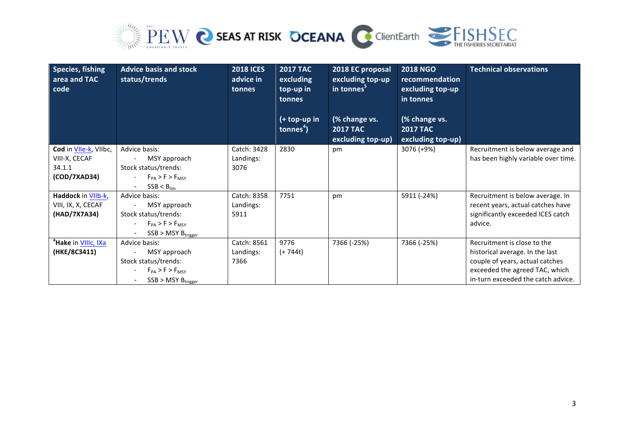

| Species, fishing<br>area and TAC<br>code                         | <b>Advice basis and stock</b><br>status/trends                                                                         | <b>2018 ICES</b><br>advice in<br>tonnes | <b>2017 TAC</b><br>excluding<br>top-up in<br>tonnes<br>$(+ top-up in$<br>tonnes <sup>4</sup> ) | 2018 EC proposal<br>excluding top-up<br>in tonnes <sup>5</sup><br>(% change vs.<br><b>2017 TAC</b><br>excluding top-up) | <b>2018 NGO</b><br>recommendation<br>excluding top-up<br>in tonnes<br>(% change vs.<br><b>2017 TAC</b><br>excluding top-up) | <b>Technical observations</b>                                                                                                                                             |
|------------------------------------------------------------------|------------------------------------------------------------------------------------------------------------------------|-----------------------------------------|------------------------------------------------------------------------------------------------|-------------------------------------------------------------------------------------------------------------------------|-----------------------------------------------------------------------------------------------------------------------------|---------------------------------------------------------------------------------------------------------------------------------------------------------------------------|
| Cod in VIIe-k, VIIbc,<br>VIII-X, CECAF<br>34.1.1<br>(COD/7XAD34) | Advice basis:<br>MSY approach<br>Stock status/trends:<br>$F_{PA}$ > F > $F_{MSY}$<br>$SSB < B_{\text{lim}}$            | Catch: 3428<br>Landings:<br>3076        | 2830                                                                                           | pm                                                                                                                      | 3076 (+9%)                                                                                                                  | Recruitment is below average and<br>has been highly variable over time.                                                                                                   |
| Haddock in VIIb-k,<br>VIII, IX, X, CECAF<br>(HAD/7X7A34)         | Advice basis:<br>MSY approach<br>Stock status/trends:<br>$F_{PA}$ > F > $F_{MSY}$<br>$SSB > MSY B_{trigger}$           | Catch: 8358<br>Landings:<br>5911        | 7751                                                                                           | pm                                                                                                                      | 5911 (-24%)                                                                                                                 | Recruitment is below average. In<br>recent years, actual catches have<br>significantly exceeded ICES catch<br>advice.                                                     |
| <sup>a</sup> Hake in VIIIc, IXa<br>(HKE/8C3411)                  | Advice basis:<br>MSY approach<br>Stock status/trends:<br>$F_{PA}$ > F > $F_{MSY}$<br>$SSB > MSY B_{trigger}$<br>$\sim$ | Catch: 8561<br>Landings:<br>7366        | 9776<br>$(+ 744t)$                                                                             | 7366 (-25%)                                                                                                             | 7366 (-25%)                                                                                                                 | Recruitment is close to the<br>historical average. In the last<br>couple of years, actual catches<br>exceeded the agreed TAC, which<br>in-turn exceeded the catch advice. |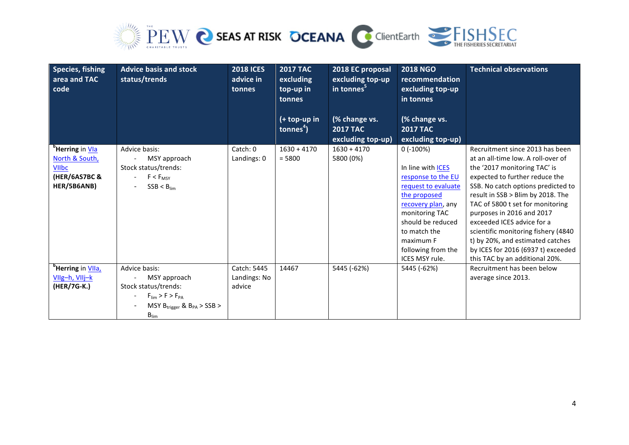

| Species, fishing<br>area and TAC<br>code      | <b>Advice basis and stock</b><br>status/trends | <b>2018 ICES</b><br>advice in<br>tonnes | <b>2017 TAC</b><br>excluding<br>top-up in<br>tonnes | 2018 EC proposal<br>excluding top-up<br>in tonnes <sup>5</sup> | <b>2018 NGO</b><br>recommendation<br>excluding top-up<br>in tonnes | <b>Technical observations</b>                                         |
|-----------------------------------------------|------------------------------------------------|-----------------------------------------|-----------------------------------------------------|----------------------------------------------------------------|--------------------------------------------------------------------|-----------------------------------------------------------------------|
|                                               |                                                |                                         | (+ top-up in                                        | (% change vs.                                                  | (% change vs.                                                      |                                                                       |
|                                               |                                                |                                         | tonnes $4$ )                                        | <b>2017 TAC</b>                                                | <b>2017 TAC</b>                                                    |                                                                       |
|                                               |                                                |                                         |                                                     | excluding top-up)                                              | excluding top-up)                                                  |                                                                       |
| <sup>b</sup> Herring in Vla<br>North & South, | Advice basis:<br>MSY approach                  | Catch: 0<br>Landings: 0                 | $1630 + 4170$<br>$= 5800$                           | $1630 + 4170$<br>5800 (0%)                                     | $0$ ( $-100\%$ )                                                   | Recruitment since 2013 has been<br>at an all-time low. A roll-over of |
| <b>VIIbc</b>                                  | Stock status/trends:                           |                                         |                                                     |                                                                | In line with ICES                                                  | the '2017 monitoring TAC' is                                          |
| (HER/6AS7BC &                                 | $F < F_{MSY}$                                  |                                         |                                                     |                                                                | response to the EU                                                 | expected to further reduce the                                        |
| HER/5B6ANB)                                   | $SSB < B_{\text{lim}}$                         |                                         |                                                     |                                                                | request to evaluate                                                | SSB. No catch options predicted to                                    |
|                                               |                                                |                                         |                                                     |                                                                | the proposed                                                       | result in SSB > Blim by 2018. The                                     |
|                                               |                                                |                                         |                                                     |                                                                | recovery plan, any                                                 | TAC of 5800 t set for monitoring                                      |
|                                               |                                                |                                         |                                                     |                                                                | monitoring TAC                                                     | purposes in 2016 and 2017                                             |
|                                               |                                                |                                         |                                                     |                                                                | should be reduced                                                  | exceeded ICES advice for a                                            |
|                                               |                                                |                                         |                                                     |                                                                | to match the                                                       | scientific monitoring fishery (4840)                                  |
|                                               |                                                |                                         |                                                     |                                                                | maximum F                                                          | t) by 20%, and estimated catches                                      |
|                                               |                                                |                                         |                                                     |                                                                | following from the<br><b>ICES MSY rule.</b>                        | by ICES for 2016 (6937 t) exceeded<br>this TAC by an additional 20%.  |
| <sup>b</sup> Herring in VIIa,                 | Advice basis:                                  | Catch: 5445                             | 14467                                               | 5445 (-62%)                                                    | 5445 (-62%)                                                        | Recruitment has been below                                            |
| VIIg-h, VIIj-k                                | MSY approach                                   | Landings: No                            |                                                     |                                                                |                                                                    | average since 2013.                                                   |
| (HER/7G-K.)                                   | Stock status/trends:                           | advice                                  |                                                     |                                                                |                                                                    |                                                                       |
|                                               | $F_{\text{lim}}$ > F > $F_{\text{PA}}$         |                                         |                                                     |                                                                |                                                                    |                                                                       |
|                                               | MSY $B_{trigger}$ & $B_{PA}$ > SSB >           |                                         |                                                     |                                                                |                                                                    |                                                                       |
|                                               | $B_{\text{lim}}$                               |                                         |                                                     |                                                                |                                                                    |                                                                       |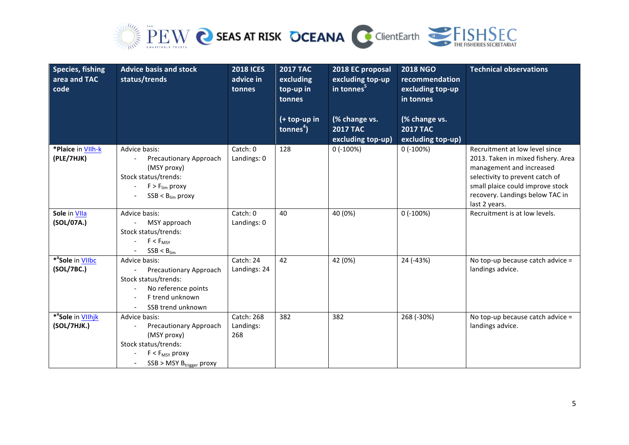

| <b>Species, fishing</b><br>area and TAC<br>code | <b>Advice basis and stock</b><br>status/trends                                                                                         | <b>2018 ICES</b><br>advice in<br>tonnes | <b>2017 TAC</b><br>excluding<br>top-up in<br>tonnes | 2018 EC proposal<br>excluding top-up<br>$\overline{\mathsf{in}}$ tonnes <sup>5</sup> | <b>2018 NGO</b><br>recommendation<br>excluding top-up<br>in tonnes | <b>Technical observations</b>                                                                                                                                                                                               |
|-------------------------------------------------|----------------------------------------------------------------------------------------------------------------------------------------|-----------------------------------------|-----------------------------------------------------|--------------------------------------------------------------------------------------|--------------------------------------------------------------------|-----------------------------------------------------------------------------------------------------------------------------------------------------------------------------------------------------------------------------|
|                                                 |                                                                                                                                        |                                         | (+ top-up in<br>tonnes $4$ )                        | (% change vs.<br><b>2017 TAC</b><br>excluding top-up)                                | (% change vs.<br><b>2017 TAC</b><br>excluding top-up)              |                                                                                                                                                                                                                             |
| *Plaice in VIIh-k<br>(PLE/7HJK)                 | Advice basis:<br><b>Precautionary Approach</b><br>(MSY proxy)<br>Stock status/trends:<br>$F > F_{lim}$ proxy<br>$SSB < B_{lim}$ proxy  | Catch: 0<br>Landings: 0                 | 128                                                 | 0(.100%)                                                                             | 0(.100%)                                                           | Recruitment at low level since<br>2013. Taken in mixed fishery. Area<br>management and increased<br>selectivity to prevent catch of<br>small plaice could improve stock<br>recovery. Landings below TAC in<br>last 2 years. |
| Sole in VIIa<br>(SOL/07A.)                      | Advice basis:<br>MSY approach<br>Stock status/trends:<br>$F < F_{MSY}$<br>$SSB < B_{lim}$                                              | Catch: 0<br>Landings: 0                 | 40                                                  | 40 (0%)                                                                              | $0$ (-100%)                                                        | Recruitment is at low levels.                                                                                                                                                                                               |
| * <sup>a</sup> Sole in VIIbc<br>(SOL/7BC.)      | Advice basis:<br>Precautionary Approach<br>Stock status/trends:<br>No reference points<br>F trend unknown<br>SSB trend unknown         | Catch: 24<br>Landings: 24               | 42                                                  | 42 (0%)                                                                              | 24 (-43%)                                                          | No top-up because catch advice =<br>landings advice.                                                                                                                                                                        |
| * <sup>a</sup> Sole in VIIhjk<br>(SOL/7HJK.)    | Advice basis:<br>Precautionary Approach<br>(MSY proxy)<br>Stock status/trends:<br>$F < F_{MSY}$ proxy<br>$SSB > MSY B_{trigger}$ proxy | Catch: 268<br>Landings:<br>268          | 382                                                 | 382                                                                                  | 268 (-30%)                                                         | No top-up because catch advice =<br>landings advice.                                                                                                                                                                        |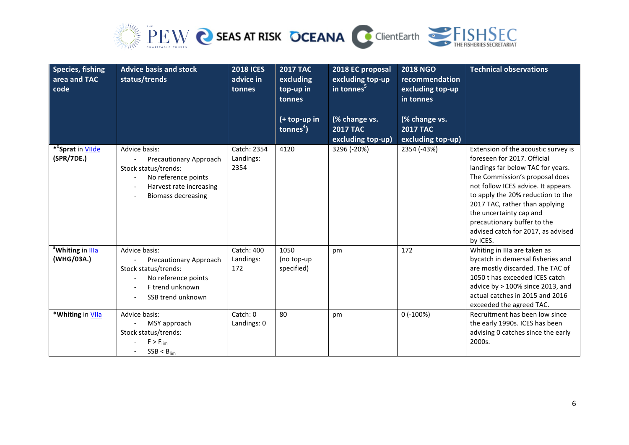

| Species, fishing<br>area and TAC<br>code    | <b>Advice basis and stock</b><br>status/trends                                                                                                 | <b>2018 ICES</b><br>advice in<br>tonnes | <b>2017 TAC</b><br>excluding<br>top-up in<br>tonnes<br>$(+ top-up in$<br>tonnes $4$ ) | 2018 EC proposal<br>excluding top-up<br>in tonnes <sup>5</sup><br>(% change vs.<br><b>2017 TAC</b><br>excluding top-up) | <b>2018 NGO</b><br>recommendation<br>excluding top-up<br>in tonnes<br>(% change vs.<br><b>2017 TAC</b><br>excluding top-up) | <b>Technical observations</b>                                                                                                                                                                                                                                                                                                                                      |
|---------------------------------------------|------------------------------------------------------------------------------------------------------------------------------------------------|-----------------------------------------|---------------------------------------------------------------------------------------|-------------------------------------------------------------------------------------------------------------------------|-----------------------------------------------------------------------------------------------------------------------------|--------------------------------------------------------------------------------------------------------------------------------------------------------------------------------------------------------------------------------------------------------------------------------------------------------------------------------------------------------------------|
|                                             |                                                                                                                                                |                                         |                                                                                       |                                                                                                                         |                                                                                                                             |                                                                                                                                                                                                                                                                                                                                                                    |
| * <sup>b</sup> Sprat in VIIde<br>(SPR/7DE.) | Advice basis:<br>Precautionary Approach<br>Stock status/trends:<br>No reference points<br>Harvest rate increasing<br><b>Biomass decreasing</b> | Catch: 2354<br>Landings:<br>2354        | 4120                                                                                  | 3296 (-20%)                                                                                                             | 2354 (-43%)                                                                                                                 | Extension of the acoustic survey is<br>foreseen for 2017. Official<br>landings far below TAC for years.<br>The Commission's proposal does<br>not follow ICES advice. It appears<br>to apply the 20% reduction to the<br>2017 TAC, rather than applying<br>the uncertainty cap and<br>precautionary buffer to the<br>advised catch for 2017, as advised<br>by ICES. |
| <sup>a</sup> Whiting in Illa<br>(WHG/03A.)  | Advice basis:<br>Precautionary Approach<br>Stock status/trends:<br>No reference points<br>F trend unknown<br>SSB trend unknown                 | Catch: 400<br>Landings:<br>172          | 1050<br>(no top-up<br>specified)                                                      | pm                                                                                                                      | 172                                                                                                                         | Whiting in IIIa are taken as<br>bycatch in demersal fisheries and<br>are mostly discarded. The TAC of<br>1050 t has exceeded ICES catch<br>advice by > 100% since 2013, and<br>actual catches in 2015 and 2016<br>exceeded the agreed TAC.                                                                                                                         |
| *Whiting in VIIa                            | Advice basis:<br>MSY approach<br>Stock status/trends:<br>$F > F_{lim}$<br>$SSB < B_{lim}$                                                      | Catch: 0<br>Landings: 0                 | 80                                                                                    | pm                                                                                                                      | $0$ (-100%)                                                                                                                 | Recruitment has been low since<br>the early 1990s. ICES has been<br>advising 0 catches since the early<br>2000s.                                                                                                                                                                                                                                                   |